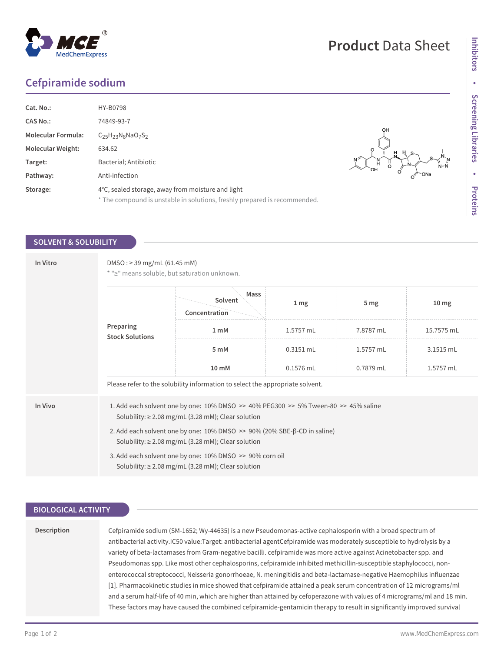## **Cefpiramide sodium**

| Cat. No.:                 | HY-B0798                                                                  |                  |
|---------------------------|---------------------------------------------------------------------------|------------------|
|                           |                                                                           |                  |
| <b>CAS No.:</b>           | 74849-93-7                                                                |                  |
| <b>Molecular Formula:</b> | $C25H23N8NaO7S2$                                                          | OH               |
| <b>Molecular Weight:</b>  | 634.62                                                                    |                  |
| Target:                   | Bacterial; Antibiotic                                                     | Н<br>$N-f$<br>OН |
| Pathway:                  | Anti-infection                                                            | `ONa             |
| Storage:                  | 4°C, sealed storage, away from moisture and light                         |                  |
|                           | * The compound is unstable in solutions, freshly prepared is recommended. |                  |

### **SOLVENT & SOLUBILITY**

| In Vitro | DMSO: ≥ 39 mg/mL (61.45 mM)<br>* ">" means soluble, but saturation unknown.                                                         |                                                                                                                                                               |                 |                 |                  |  |
|----------|-------------------------------------------------------------------------------------------------------------------------------------|---------------------------------------------------------------------------------------------------------------------------------------------------------------|-----------------|-----------------|------------------|--|
|          | Preparing<br><b>Stock Solutions</b>                                                                                                 | Mass<br>Solvent<br>Concentration                                                                                                                              | 1 <sub>mg</sub> | 5 <sub>mg</sub> | 10 <sub>mg</sub> |  |
|          |                                                                                                                                     | 1 <sub>m</sub> M                                                                                                                                              | 1.5757 mL       | 7.8787 mL       | 15.7575 mL       |  |
|          |                                                                                                                                     | 5 mM                                                                                                                                                          | $0.3151$ mL     | 1.5757 mL       | 3.1515 mL        |  |
|          |                                                                                                                                     | $10 \text{ mM}$                                                                                                                                               | $0.1576$ mL     | 0.7879 mL       | 1.5757 mL        |  |
|          | Please refer to the solubility information to select the appropriate solvent.                                                       |                                                                                                                                                               |                 |                 |                  |  |
| In Vivo  |                                                                                                                                     | 1. Add each solvent one by one: $10\%$ DMSO $\geq$ 40% PEG300 $\geq$ 5% Tween-80 $\geq$ 45% saline<br>Solubility: $\geq$ 2.08 mg/mL (3.28 mM); Clear solution |                 |                 |                  |  |
|          | 2. Add each solvent one by one: 10% DMSO >> 90% (20% SBE-β-CD in saline)<br>Solubility: $\geq$ 2.08 mg/mL (3.28 mM); Clear solution |                                                                                                                                                               |                 |                 |                  |  |
|          | 3. Add each solvent one by one: 10% DMSO >> 90% corn oil<br>Solubility: $\geq$ 2.08 mg/mL (3.28 mM); Clear solution                 |                                                                                                                                                               |                 |                 |                  |  |

## **BIOLOGICAL ACTIVITY**

| Description | Cefpiramide sodium (SM-1652; Wy-44635) is a new Pseudomonas-active cephalosporin with a broad spectrum of                  |  |
|-------------|----------------------------------------------------------------------------------------------------------------------------|--|
|             | antibacterial activity.IC50 value:Target: antibacterial agentCefpiramide was moderately susceptible to hydrolysis by a     |  |
|             | variety of beta-lactamases from Gram-negative bacilli. cefpiramide was more active against Acinetobacter spp. and          |  |
|             | Pseudomonas spp. Like most other cephalosporins, cefpiramide inhibited methicillin-susceptible staphylococci, non-         |  |
|             | enterococcal streptococci, Neisseria gonorrhoeae, N. meningitidis and beta-lactamase-negative Haemophilus influenzae       |  |
|             | [1]. Pharmacokinetic studies in mice showed that cefpiramide attained a peak serum concentration of 12 micrograms/ml       |  |
|             | and a serum half-life of 40 min, which are higher than attained by cefoperazone with values of 4 micrograms/ml and 18 min. |  |
|             | These factors may have caused the combined cefpiramide-gentamicin therapy to result in significantly improved survival     |  |

**Inhibitors**

Inhibitors · Screening Libraries

**Screening Libraries**

**•**

**Proteins**

# **Product** Data Sheet